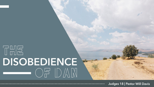## THE<sup>T</sup> **DISOBEDIENCE**

Judges 18 | Pastor Will Davis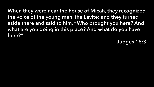When they were near the house of Micah, they recognized the voice of the young man, the Levite; and they turned aside there and said to him, "Who brought you here? And what are you doing in this place? And what do you have here?"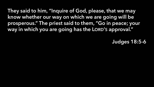They said to him, "Inquire of God, please, that we may know whether our way on which we are going will be prosperous." The priest said to them, "Go in peace; your way in which you are going has the LORD'S approval."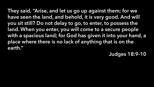They said, "Arise, and let us go up against them; for we have seen the land, and behold, it is very good. And will you sit still? Do not delay to go, to enter, to possess the land. When you enter, you will come to a secure people with a spacious land; for God has given it into your hand, a place where there is no lack of anything that is on the earth."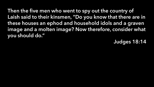Then the five men who went to spy out the country of Laish said to their kinsmen, "Do you know that there are in these houses an ephod and household idols and a graven image and a molten image? Now therefore, consider what you should do."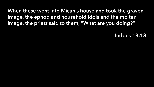When these went into Micah's house and took the graven image, the ephod and household idols and the molten image, the priest said to them, "What are you doing?"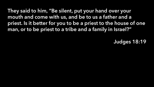They said to him, "Be silent, put your hand over your mouth and come with us, and be to us a father and a priest. Is it better for you to be a priest to the house of one man, or to be priest to a tribe and a family in Israel?"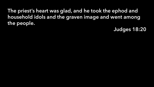The priest's heart was glad, and he took the ephod and household idols and the graven image and went among the people.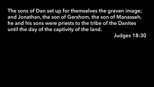The sons of Dan set up for themselves the graven image; and Jonathan, the son of Gershom, the son of Manasseh, he and his sons were priests to the tribe of the Danites until the day of the captivity of the land.